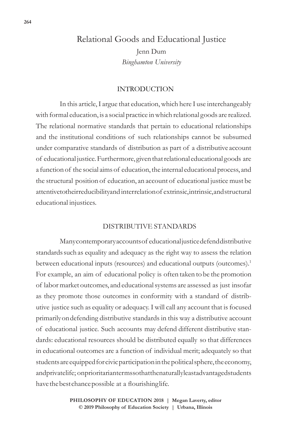# Relational Goods and Educational Justice

Jenn Dum *Binghamton University*

### INTRODUCTION

In this article, I argue that education, which here I use interchangeably with formal education, is a social practice in which relational goods are realized. The relational normative standards that pertain to educational relationships and the institutional conditions of such relationships cannot be subsumed under comparative standards of distribution as part of a distributive account of educational justice. Furthermore, given that relational educational goods are a function of the social aims of education, the internal educational process, and the structural position of education, an account of educational justice must be attentive to the irreducibility and interrelation of extrinsic, intrinsic, and structural educational injustices.

### DISTRIBUTIVE STANDARDS

Many contemporary accounts of educational justice defend distributive standards such as equality and adequacy as the right way to assess the relation between educational inputs (resources) and educational outputs (outcomes).<sup>1</sup> For example, an aim of educational policy is often taken to be the promotion of labor market outcomes, and educational systems are assessed as just insofar as they promote those outcomes in conformity with a standard of distributive justice such as equality or adequacy. I will call any account that is focused primarily on defending distributive standards in this way a distributive account of educational justice. Such accounts may defend different distributive standards: educational resources should be distributed equally so that differences in educational outcomes are a function of individual merit; adequately so that students are equipped for civic participation in the political sphere, the economy, and privatelife; on prioritarianterms so that the naturally least advantaged students have the best chance possible at a flourishing life.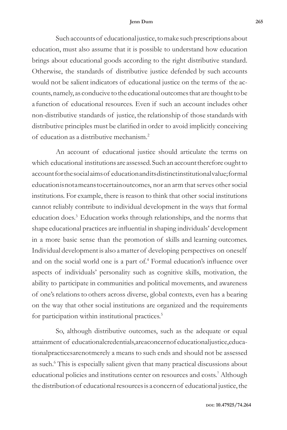Such accounts of educational justice, to make such prescriptions about education, must also assume that it is possible to understand how education brings about educational goods according to the right distributive standard. Otherwise, the standards of distributive justice defended by such accounts would not be salient indicators of educational justice on the terms of the accounts, namely, as conducive to the educational outcomes that are thought to be a function of educational resources. Even if such an account includes other non-distributive standards of justice, the relationship of those standards with distributive principles must be clarified in order to avoid implicitly conceiving of education as a distributive mechanism.2

An account of educational justice should articulate the terms on which educational institutions are assessed. Such an account therefore ought to account for the social aims of education and its distinct institutional value; formal education is not a means to certain outcomes, nor an arm that serves other social institutions. For example, there is reason to think that other social institutions cannot reliably contribute to individual development in the ways that formal education does.3 Education works through relationships, and the norms that shape educational practices are influential in shaping individuals' development in a more basic sense than the promotion of skills and learning outcomes. Individual development is also a matter of developing perspectives on oneself and on the social world one is a part of.<sup>4</sup> Formal education's influence over aspects of individuals' personality such as cognitive skills, motivation, the ability to participate in communities and political movements, and awareness of one's relations to others across diverse, global contexts, even has a bearing on the way that other social institutions are organized and the requirements for participation within institutional practices.<sup>5</sup>

So, although distributive outcomes, such as the adequate or equal attainment of educational credentials, are a concern of educational justice, educational practices are not merely a means to such ends and should not be assessed as such.<sup>6</sup> This is especially salient given that many practical discussions about educational policies and institutions center on resources and costs.7 Although the distribution of educational resources is a concern of educational justice, the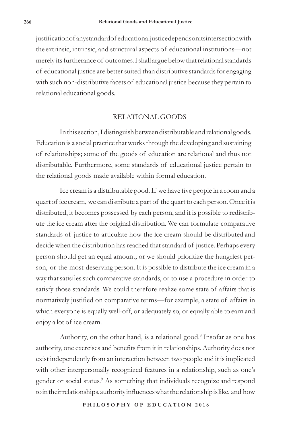justification of any standard of educational justice depends on its intersection with the extrinsic, intrinsic, and structural aspects of educational institutions—not merely its furtherance of outcomes. I shall argue below that relational standards of educational justice are better suited than distributive standards for engaging with such non-distributive facets of educational justice because they pertain to relational educational goods.

## RELATIONAL GOODS

In this section, I distinguish between distributable and relational goods. Education is a social practice that works through the developing and sustaining of relationships; some of the goods of education are relational and thus not distributable. Furthermore, some standards of educational justice pertain to the relational goods made available within formal education.

Ice cream is a distributable good. If we have five people in a room and a quart of ice cream, we can distribute a part of the quart to each person. Once it is distributed, it becomes possessed by each person, and it is possible to redistribute the ice cream after the original distribution. We can formulate comparative standards of justice to articulate how the ice cream should be distributed and decide when the distribution has reached that standard of justice. Perhaps every person should get an equal amount; or we should prioritize the hungriest person, or the most deserving person. It is possible to distribute the ice cream in a way that satisfies such comparative standards, or to use a procedure in order to satisfy those standards. We could therefore realize some state of affairs that is normatively justified on comparative terms—for example, a state of affairs in which everyone is equally well-off, or adequately so, or equally able to earn and enjoy a lot of ice cream.

Authority, on the other hand, is a relational good.<sup>8</sup> Insofar as one has authority, one exercises and benefits from it in relationships. Authority does not exist independently from an interaction between two people and it is implicated with other interpersonally recognized features in a relationship, such as one's gender or social status.<sup>9</sup> As something that individuals recognize and respond to in their relationships, authority influences what the relationship is like, and how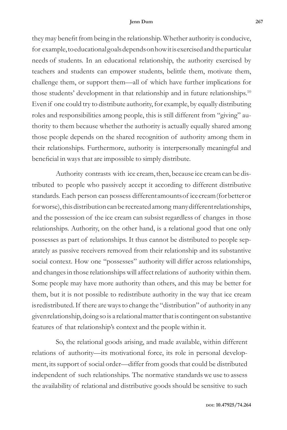they may benefit from being in the relationship. Whether authority is conducive, for example, to educational goals depends on how it is exercised and the particular needs of students. In an educational relationship, the authority exercised by teachers and students can empower students, belittle them, motivate them, challenge them, or support them—all of which have further implications for those students' development in that relationship and in future relationships.<sup>10</sup> Even if one could try to distribute authority, for example, by equally distributing roles and responsibilities among people, this is still different from "giving" authority to them because whether the authority is actually equally shared among those people depends on the shared recognition of authority among them in their relationships. Furthermore, authority is interpersonally meaningful and beneficial in ways that are impossible to simply distribute.

Authority contrasts with ice cream, then, because ice cream can be distributed to people who passively accept it according to different distributive standards. Each person can possess different amounts of ice cream (for better or for worse), this distribution can be recreated among many different relationships, and the possession of the ice cream can subsist regardless of changes in those relationships. Authority, on the other hand, is a relational good that one only possesses as part of relationships. It thus cannot be distributed to people separately as passive receivers removed from their relationship and its substantive social context. How one "possesses" authority will differ across relationships, and changes in those relationships will affect relations of authority within them. Some people may have more authority than others, and this may be better for them, but it is not possible to redistribute authority in the way that ice cream is redistributed. If there are ways to change the "distribution" of authority in any given relationship, doing so is a relational matter that is contingent on substantive features of that relationship's context and the people within it.

So, the relational goods arising, and made available, within different relations of authority—its motivational force, its role in personal development, its support of social order—differ from goods that could be distributed independent of such relationships. The normative standards we use to assess the availability of relational and distributive goods should be sensitive to such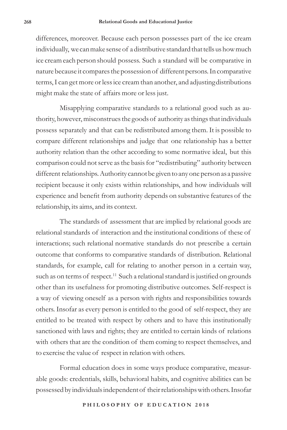differences, moreover. Because each person possesses part of the ice cream individually, we can make sense of a distributive standard that tells us how much ice cream each person should possess. Such a standard will be comparative in nature because it compares the possession of different persons. In comparative terms, I can get more or less ice cream than another, and adjusting distributions might make the state of affairs more or less just.

Misapplying comparative standards to a relational good such as authority, however, misconstrues the goods of authority as things that individuals possess separately and that can be redistributed among them. It is possible to compare different relationships and judge that one relationship has a better authority relation than the other according to some normative ideal, but this comparison could not serve as the basis for "redistributing" authority between different relationships. Authority cannot be given to any one person as a passive recipient because it only exists within relationships, and how individuals will experience and benefit from authority depends on substantive features of the relationship, its aims, and its context.

The standards of assessment that are implied by relational goods are relational standards of interaction and the institutional conditions of these of interactions; such relational normative standards do not prescribe a certain outcome that conforms to comparative standards of distribution. Relational standards, for example, call for relating to another person in a certain way, such as on terms of respect.<sup>11</sup> Such a relational standard is justified on grounds other than its usefulness for promoting distributive outcomes. Self-respect is a way of viewing oneself as a person with rights and responsibilities towards others. Insofar as every person is entitled to the good of self-respect, they are entitled to be treated with respect by others and to have this institutionally sanctioned with laws and rights; they are entitled to certain kinds of relations with others that are the condition of them coming to respect themselves, and to exercise the value of respect in relation with others.

Formal education does in some ways produce comparative, measurable goods: credentials, skills, behavioral habits, and cognitive abilities can be possessed by individuals independent of their relationships with others. Insofar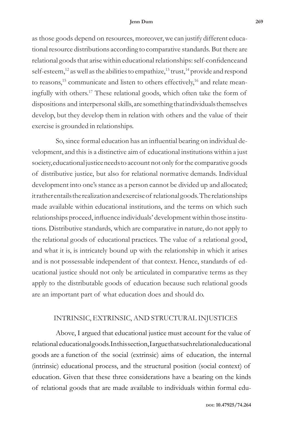as those goods depend on resources, moreover, we can justify different educational resource distributions according to comparative standards. But there are relational goods that arise within educational relationships: self-confidence and self-esteem,<sup>12</sup> as well as the abilities to empathize,<sup>13</sup> trust,<sup>14</sup> provide and respond to reasons,<sup>15</sup> communicate and listen to others effectively,<sup>16</sup> and relate meaningfully with others.17 These relational goods, which often take the form of dispositions and interpersonal skills, are something that individuals themselves develop, but they develop them in relation with others and the value of their exercise is grounded in relationships.

So, since formal education has an influential bearing on individual development, and this is a distinctive aim of educational institutions within a just society, educational justice needs to account not only for the comparative goods of distributive justice, but also for relational normative demands. Individual development into one's stance as a person cannot be divided up and allocated; it rather entails the realization and exercise of relational goods. The relationships made available within educational institutions, and the terms on which such relationships proceed, influence individuals' development within those institutions. Distributive standards, which are comparative in nature, do not apply to the relational goods of educational practices. The value of a relational good, and what it is, is intricately bound up with the relationship in which it arises and is not possessable independent of that context. Hence, standards of educational justice should not only be articulated in comparative terms as they apply to the distributable goods of education because such relational goods are an important part of what education does and should do.

# INTRINSIC, EXTRINSIC, AND STRUCTURAL INJUSTICES

Above, I argued that educational justice must account for the value of relational educational goods. In this section, I argue that such relational educational goods are a function of the social (extrinsic) aims of education, the internal (intrinsic) educational process, and the structural position (social context) of education. Given that these three considerations have a bearing on the kinds of relational goods that are made available to individuals within formal edu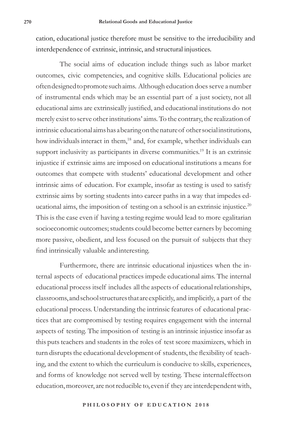cation, educational justice therefore must be sensitive to the irreducibility and interdependence of extrinsic, intrinsic, and structural injustices.

The social aims of education include things such as labor market outcomes, civic competencies, and cognitive skills. Educational policies are often designed to promote such aims. Although education does serve a number of instrumental ends which may be an essential part of a just society, not all educational aims are extrinsically justified, and educational institutions do not merely exist to serve other institutions' aims. To the contrary, the realization of intrinsic educational aims has a bearing on the nature of other social institutions, how individuals interact in them,<sup>18</sup> and, for example, whether individuals can support inclusivity as participants in diverse communities.<sup>19</sup> It is an extrinsic injustice if extrinsic aims are imposed on educational institutions a means for outcomes that compete with students' educational development and other intrinsic aims of education. For example, insofar as testing is used to satisfy extrinsic aims by sorting students into career paths in a way that impedes educational aims, the imposition of testing on a school is an extrinsic injustice.<sup>20</sup> This is the case even if having a testing regime would lead to more egalitarian socioeconomic outcomes; students could become better earners by becoming more passive, obedient, and less focused on the pursuit of subjects that they find intrinsically valuable and interesting.

Furthermore, there are intrinsic educational injustices when the internal aspects of educational practices impede educational aims. The internal educational process itself includes all the aspects of educational relationships, classrooms, and school structures that are explicitly, and implicitly, a part of the educational process. Understanding the intrinsic features of educational practices that are compromised by testing requires engagement with the internal aspects of testing. The imposition of testing is an intrinsic injustice insofar as this puts teachers and students in the roles of test score maximizers, which in turn disrupts the educational development of students, the flexibility of teaching, and the extent to which the curriculum is conducive to skills, experiences, and forms of knowledge not served well by testing. These internal effects on education, moreover, are not reducible to, even if they are interdependent with,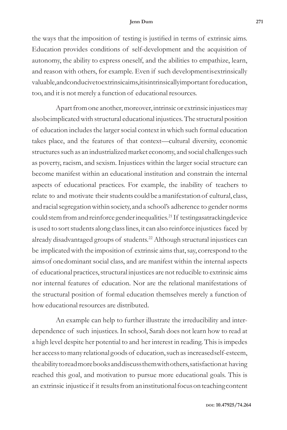the ways that the imposition of testing is justified in terms of extrinsic aims. Education provides conditions of self-development and the acquisition of autonomy, the ability to express oneself, and the abilities to empathize, learn, and reason with others, for example. Even if such development is extrinsically valuable, and conducive to extrinsical ms, it is intrinsically important for education, too, and it is not merely a function of educational resources.

Apart from one another, moreover, intrinsic or extrinsic injustices may also be implicated with structural educational injustices. The structural position of education includes the larger social context in which such formal education takes place, and the features of that context—cultural diversity, economic structures such as an industrialized market economy, and social challenges such as poverty, racism, and sexism. Injustices within the larger social structure can become manifest within an educational institution and constrain the internal aspects of educational practices. For example, the inability of teachers to relate to and motivate their students could be a manifestation of cultural, class, and racial segregation within society, and a school's adherence to gender norms could stem from and reinforce gender inequalities.<sup>21</sup> If testing as a tracking device is used to sort students along class lines, it can also reinforce injustices faced by already disadvantaged groups of students.<sup>22</sup> Although structural injustices can be implicated with the imposition of extrinsic aims that, say, correspond to the aims of one dominant social class, and are manifest within the internal aspects of educational practices, structural injustices are not reducible to extrinsic aims nor internal features of education. Nor are the relational manifestations of the structural position of formal education themselves merely a function of how educational resources are distributed.

An example can help to further illustrate the irreducibility and interdependence of such injustices. In school, Sarah does not learn how to read at a high level despite her potential to and her interest in reading. This is impedes her access to many relational goods of education, such as increased self-esteem, the ability to read more books and discuss them with others, satisfaction at having reached this goal, and motivation to pursue more educational goals. This is an extrinsic injustice if it results from an institutional focus on teaching content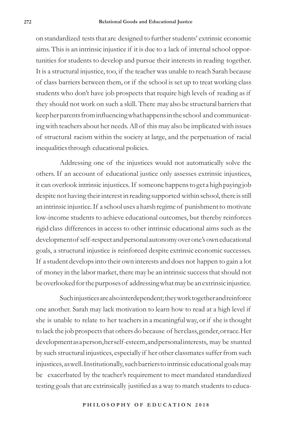on standardized tests that are designed to further students' extrinsic economic aims. This is an intrinsic injustice if it is due to a lack of internal school opportunities for students to develop and pursue their interests in reading together. It is a structural injustice, too, if the teacher was unable to reach Sarah because of class barriers between them, or if the school is set up to treat working class students who don't have job prospects that require high levels of reading as if they should not work on such a skill. There may also be structural barriers that keep her parents from influencing what happens in the school and communicating with teachers about her needs. All of this may also be implicated with issues of structural racism within the society at large, and the perpetuation of racial inequalities through educational policies.

Addressing one of the injustices would not automatically solve the others. If an account of educational justice only assesses extrinsic injustices, it can overlook intrinsic injustices. If someone happens to get a high paying job despite not having their interest in reading supported within school, there is still an intrinsic injustice. If a school uses a harsh regime of punishment to motivate low-income students to achieve educational outcomes, but thereby reinforces rigid class differences in access to other intrinsic educational aims such as the development of self-respect and personal autonomy over one's own educational goals, a structural injustice is reinforced despite extrinsic economic successes. If a student develops into their own interests and does not happen to gain a lot of money in the labor market, there may be an intrinsic success that should not be overlooked for the purposes of addressing what may be an extrinsic injustice.

Such injustices are also interdependent; they work together and reinforce one another. Sarah may lack motivation to learn how to read at a high level if she is unable to relate to her teachers in a meaningful way, or if she is thought to lack the job prospects that others do because of her class, gender, or race. Her development as a person, her self-esteem, and personal interests, may be stunted by such structural injustices, especially if her other classmates suffer from such injustices, as well. Institutionally, such barriers to intrinsic educational goals may be exacerbated by the teacher's requirement to meet mandated standardized testing goals that are extrinsically justified as a way to match students to educa-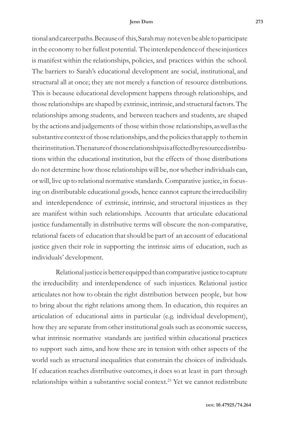tional and career paths. Because of this, Sarah may not even be able to participate in the economy to her fullest potential. The interdependence of these injustices is manifest within the relationships, policies, and practices within the school. The barriers to Sarah's educational development are social, institutional, and structural all at once; they are not merely a function of resource distributions. This is because educational development happens through relationships, and those relationships are shaped by extrinsic, intrinsic, and structural factors. The relationships among students, and between teachers and students, are shaped by the actions and judgements of those within those relationships, as well as the substantive context of those relationships, and the policies that apply to them in their institution. The nature of those relationships is affected by resource distributions within the educational institution, but the effects of those distributions do not determine how those relationships will be, nor whether individuals can, or will, live up to relational normative standards. Comparative justice, in focusing on distributable educational goods, hence cannot capture the irreducibility and interdependence of extrinsic, intrinsic, and structural injustices as they are manifest within such relationships. Accounts that articulate educational justice fundamentally in distributive terms will obscure the non-comparative, relational facets of education that should be part of an account of educational justice given their role in supporting the intrinsic aims of education, such as individuals' development.

Relational justice is better equipped than comparative justice to capture the irreducibility and interdependence of such injustices. Relational justice articulates not how to obtain the right distribution between people, but how to bring about the right relations among them. In education, this requires an articulation of educational aims in particular (e.g. individual development), how they are separate from other institutional goals such as economic success, what intrinsic normative standards are justified within educational practices to support such aims, and how these are in tension with other aspects of the world such as structural inequalities that constrain the choices of individuals. If education reaches distributive outcomes, it does so at least in part through relationships within a substantive social context.23 Yet we cannot redistribute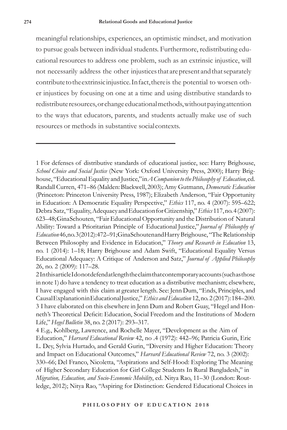meaningful relationships, experiences, an optimistic mindset, and motivation to pursue goals between individual students. Furthermore, redistributing educational resources to address one problem, such as an extrinsic injustice, will not necessarily address the other injustices that are present and that separately contribute to the extrinsic injustice. In fact, there is the potential to worsen other injustices by focusing on one at a time and using distributive standards to redistribute resources, or change educational methods, without paying attention to the ways that educators, parents, and students actually make use of such resources or methods in substantive social contexts.

1 For defenses of distributive standards of educational justice, see: Harry Brighouse, *School Choice and Social Justice* (New York: Oxford University Press, 2000); Harry Brighouse, "Educational Equality and Justice," in *A Companion to the Philosophy of Education*, ed. Randall Curren, 471–86 (Malden: Blackwell, 2003); Amy Gutmann, *Democratic Education*  (Princeton: Princeton University Press, 1987); Elizabeth Anderson, "Fair Opportunity in Education: A Democratic Equality Perspective," *Ethics* 117, no. 4 (2007): 595–622; Debra Satz, "Equality, Adequacy and Education for Citizenship," *Ethics* 117, no. 4 (2007): 623–48; Gina Schouten, "Fair Educational Opportunity and the Distribution of Natural Ability: Toward a Prioritarian Principle of Educational Justice," *Journal of Philosophy of Education* 46, no. 3 (2012): 472–91; Gina Schouten and Harry Brighouse, "The Relationship Between Philosophy and Evidence in Education," *Theory and Research in Education* 13, no. 1 (2014): 1–18; Harry Brighouse and Adam Swift, "Educational Equality Versus Educational Adequacy: A Critique of Anderson and Satz," *Journal of Applied Philosophy*  26, no. 2 (2009): 117–28.

2 In this article I do not defend at length the claim that contemporary accounts (such as those in note 1) do have a tendency to treat education as a distributive mechanism; elsewhere, I have engaged with this claim at greater length. See: Jenn Dum, "Ends, Principles, and Causal Explanation in Educational Justice," *Ethics and Education* 12, no. 2 (2017): 184–200. 3 I have elaborated on this elsewhere in Jenn Dum and Robert Guay, "Hegel and Honneth's Theoretical Deficit: Education, Social Freedom and the Institutions of Modern Life," *Hegel Bulletin* 38, no. 2 (2017): 293–317.

4 E.g., Kohlberg, Lawrence, and Rochelle Mayer, "Development as the Aim of Education," *Harvard Educational Review* 42, no .4 (1972): 442–96; Patricia Gurin, Eric L. Dey, Sylvia Hurtado, and Gerald Gurin, "Diversity and Higher Education: Theory and Impact on Educational Outcomes," *Harvard Educational Review* 72, no. 3 (2002): 330–66; Del Franco, Nicoletta, "Aspirations and Self-Hood: Exploring The Meaning of Higher Secondary Education for Girl College Students In Rural Bangladesh," in *Migration, Education, and Socio-Economic Mobility*, ed. Nitya Rao, 11–30 (London: Routledge, 2012); Nitya Rao, "Aspiring for Distinction: Gendered Educational Choices in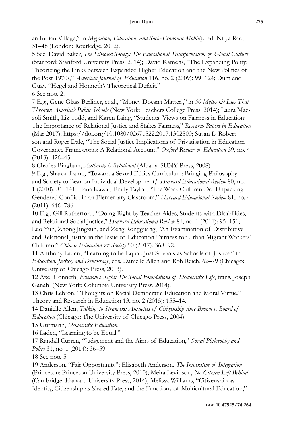an Indian Village," in *Migration, Education, and Socio-Economic Mobility*, ed. Nitya Rao, 31–48 (London: Routledge, 2012).

5 See: David Baker, *The Schooled Society: The Educational Transformation of Global Culture* (Stanford: Stanford University Press, 2014); David Kamens, "The Expanding Polity: Theorizing the Links between Expanded Higher Education and the New Politics of the Post-1970s," *American Journal of Education* 116, no. 2 (2009): 99–124; Dum and Guay, "Hegel and Honneth's Theoretical Deficit."

6 See note 2.

7 E.g., Gene Glass Berliner, et al., "Money Doesn't Matter!," in *50 Myths & Lies That Threaten America's Public Schools* (New York: Teachers College Press, 2014); Laura Mazzoli Smith, Liz Todd, and Karen Laing, "Students' Views on Fairness in Education: The Importance of Relational Justice and Stakes Fairness," *Research Papers in Education* (Mar 2017), https://doi.org/10.1080/02671522.2017.1302500; Susan L. Robertson and Roger Dale, "The Social Justice Implications of Privatisation in Education Governance Frameworks: A Relational Account," *Oxford Review of Education* 39, no. 4 (2013): 426–45.

8 Charles Bingham, *Authority is Relational* (Albany: SUNY Press, 2008).

9 E.g., Sharon Lamb, "Toward a Sexual Ethics Curriculum: Bringing Philosophy and Society to Bear on Individual Development," *Harvard Educational Review* 80, no. 1 (2010): 81–141; Hana Kawai, Emily Taylor, "The Work Children Do: Unpacking Gendered Conflict in an Elementary Classroom," *Harvard Educational Review* 81, no. 4 (2011): 646–786.

10 E.g., Gill Rutherford, "Doing Right by Teacher Aides, Students with Disabilities, and Relational Social Justice," *Harvard Educational Review* 81, no. 1 (2011): 95–151; Luo Yun, Zhong Jingxun, and Zeng Rongguang, "An Examination of Distributive and Relational Justice in the Issue of Education Fairness for Urban Migrant Workers' Children," *Chinese Education & Society* 50 (2017): 368–92.

11 Anthony Laden, "Learning to be Equal: Just Schools as Schools of Justice," in *Education, Justice, and Democracy*, eds. Danielle Allen and Rob Reich, 62–79 (Chicago: University of Chicago Press, 2013).

12 Axel Honneth, *Freedom's Right: The Social Foundations of Democratic Life*, trans. Joseph Ganahl (New York: Columbia University Press, 2014).

13 Chris Lebron, "Thoughts on Racial Democratic Education and Moral Virtue," Theory and Research in Education 13, no. 2 (2015): 155–14.

14 Danielle Allen, *Talking to Strangers: Anxieties of Citizenship since Brown v. Board of Education* (Chicago: The University of Chicago Press, 2004).

15 Gutmann, *Democratic Education*.

16 Laden, "Learning to be Equal."

17 Randall Curren, "Judgement and the Aims of Education," *Social Philosophy and Policy* 31, no. 1 (2014): 36–59.

18 See note 5.

19 Anderson, "Fair Opportunity"; Elizabeth Anderson, *The Imperative of Integration* (Princeton: Princeton University Press, 2010); Meira Levinson, *No Citizen Left Behind* (Cambridge: Harvard University Press, 2014); Melissa Williams, "Citizenship as Identity, Citizenship as Shared Fate, and the Functions of Multicultural Education,"